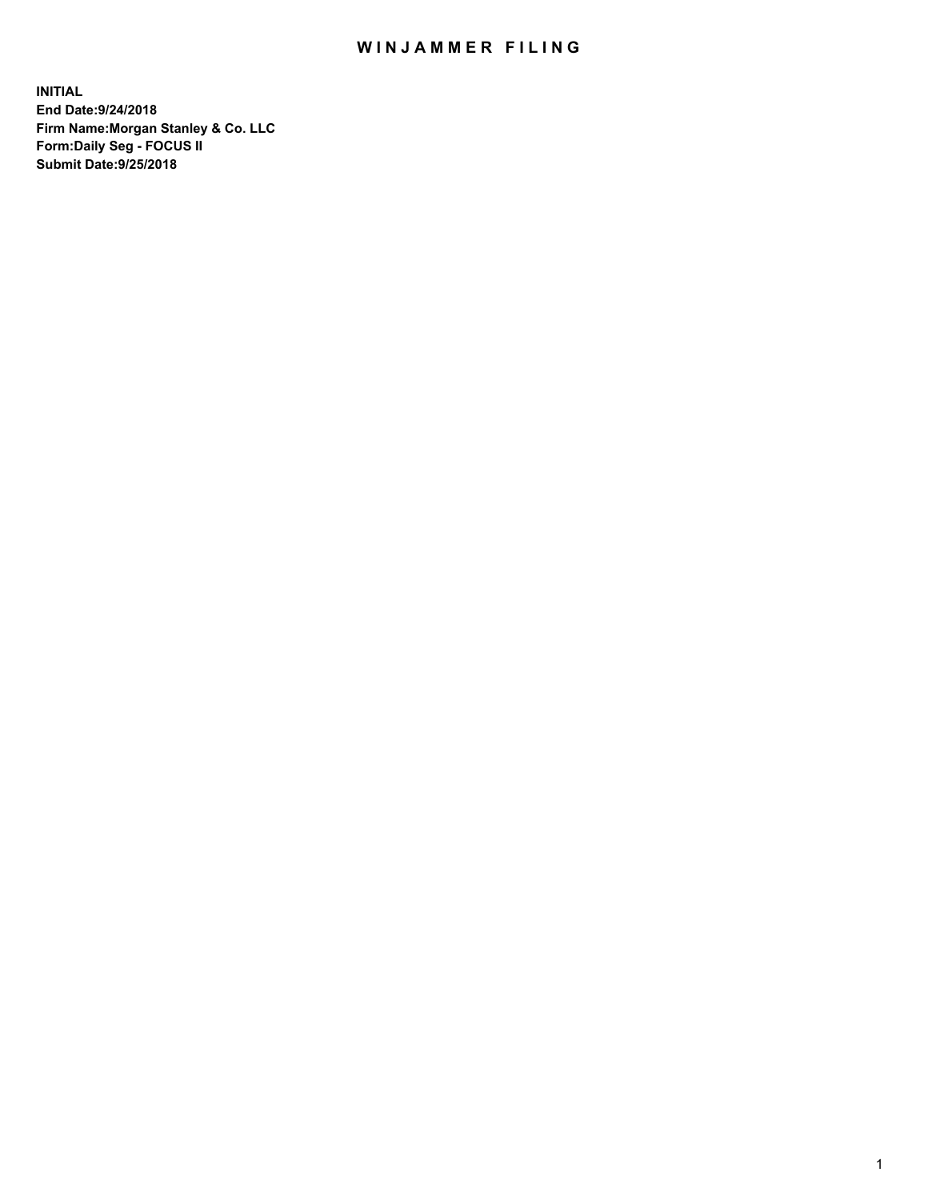## WIN JAMMER FILING

**INITIAL End Date:9/24/2018 Firm Name:Morgan Stanley & Co. LLC Form:Daily Seg - FOCUS II Submit Date:9/25/2018**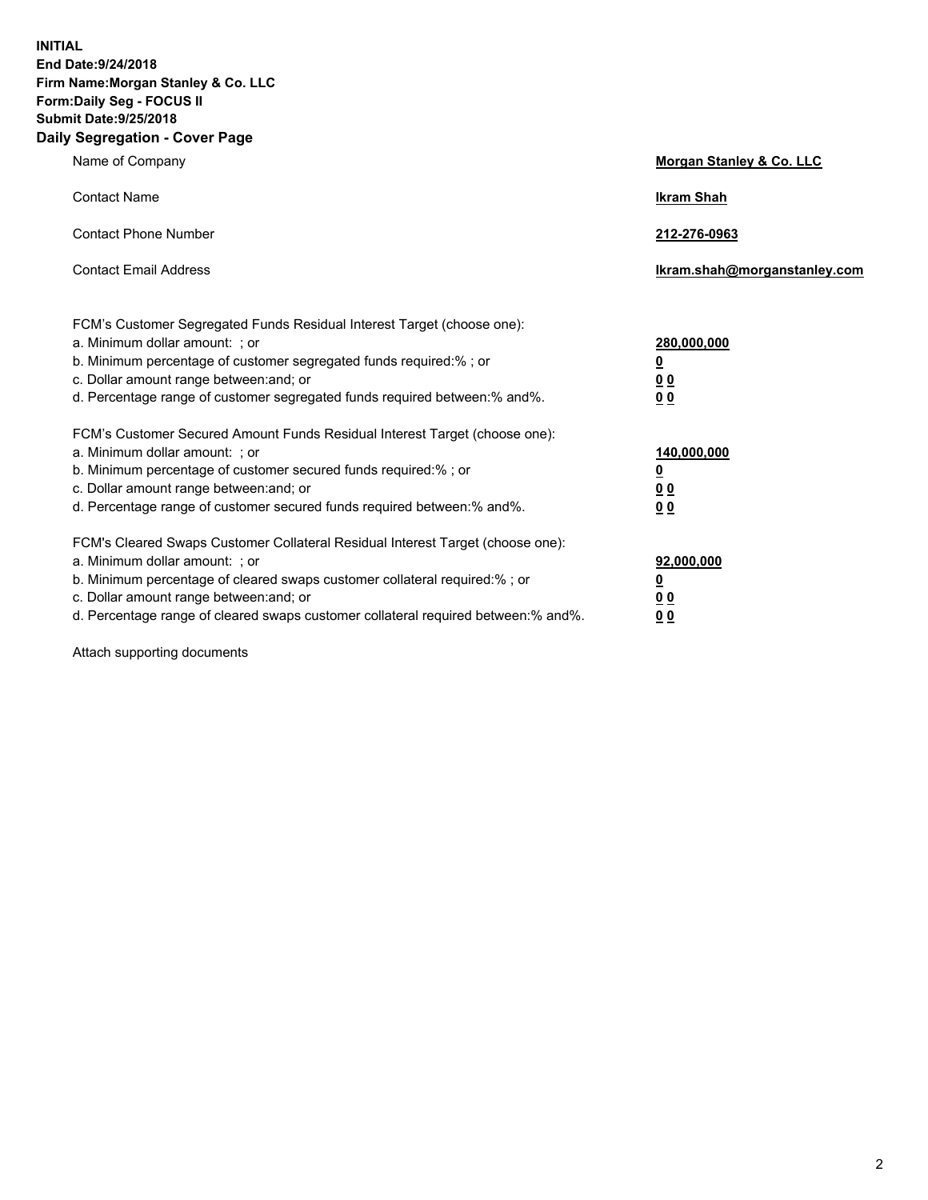**INITIAL End Date:9/24/2018 Firm Name:Morgan Stanley & Co. LLC Form:Daily Seg - FOCUS II Submit Date:9/25/2018 Daily Segregation - Cover Page**

| Name of Company                                                                                                                                                                                                                                                                                                                | Morgan Stanley & Co. LLC                               |
|--------------------------------------------------------------------------------------------------------------------------------------------------------------------------------------------------------------------------------------------------------------------------------------------------------------------------------|--------------------------------------------------------|
| <b>Contact Name</b>                                                                                                                                                                                                                                                                                                            | <b>Ikram Shah</b>                                      |
| <b>Contact Phone Number</b>                                                                                                                                                                                                                                                                                                    | 212-276-0963                                           |
| <b>Contact Email Address</b>                                                                                                                                                                                                                                                                                                   | lkram.shah@morganstanley.com                           |
| FCM's Customer Segregated Funds Residual Interest Target (choose one):<br>a. Minimum dollar amount: ; or<br>b. Minimum percentage of customer segregated funds required:% ; or<br>c. Dollar amount range between: and; or<br>d. Percentage range of customer segregated funds required between:% and%.                         | 280,000,000<br><u>0</u><br><u>0 0</u><br>0 Q           |
| FCM's Customer Secured Amount Funds Residual Interest Target (choose one):<br>a. Minimum dollar amount: ; or<br>b. Minimum percentage of customer secured funds required:%; or<br>c. Dollar amount range between: and; or<br>d. Percentage range of customer secured funds required between:% and%.                            | 140,000,000<br><u>0</u><br><u>00</u><br>0 <sub>0</sub> |
| FCM's Cleared Swaps Customer Collateral Residual Interest Target (choose one):<br>a. Minimum dollar amount: ; or<br>b. Minimum percentage of cleared swaps customer collateral required:% ; or<br>c. Dollar amount range between: and; or<br>d. Percentage range of cleared swaps customer collateral required between:% and%. | 92,000,000<br><u>0</u><br><u>00</u><br>0 <sub>0</sub>  |

Attach supporting documents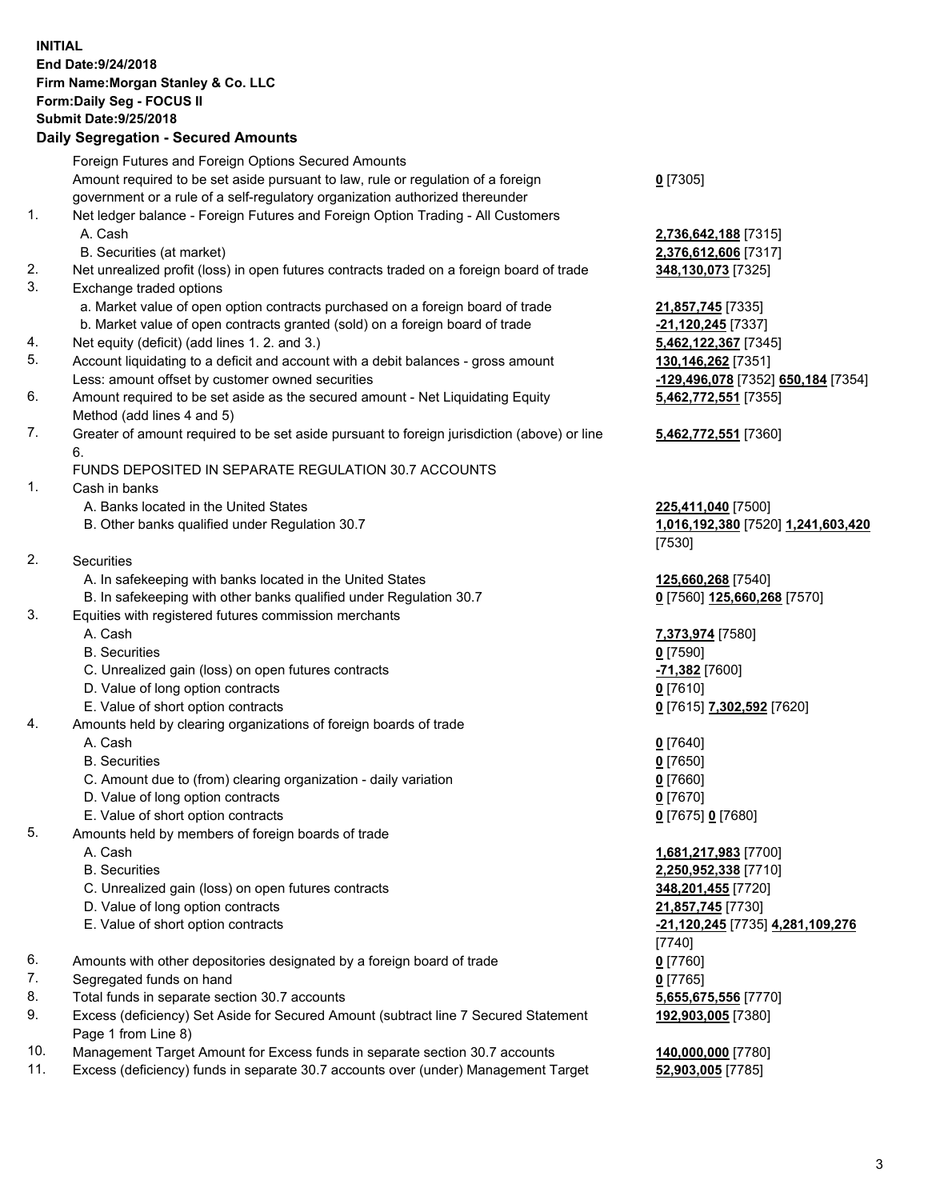## **INITIAL End Date:9/24/2018 Firm Name:Morgan Stanley & Co. LLC Form:Daily Seg - FOCUS II Submit Date:9/25/2018 Daily Segregation - Secured Amounts**

Foreign Futures and Foreign Options Secured Amounts Amount required to be set aside pursuant to law, rule or regulation of a foreign government or a rule of a self-regulatory organization authorized thereunder 1. Net ledger balance - Foreign Futures and Foreign Option Trading - All Customers A. Cash **2,736,642,188** [7315] B. Securities (at market) **2,376,612,606** [7317] 2. Net unrealized profit (loss) in open futures contracts traded on a foreign board of trade **348,130,073** [7325] 3. Exchange traded options a. Market value of open option contracts purchased on a foreign board of trade **21,857,745** [7335] b. Market value of open contracts granted (sold) on a foreign board of trade **-21,120,245** [7337] 4. Net equity (deficit) (add lines 1. 2. and 3.) **5,462,122,367** [7345] 5. Account liquidating to a deficit and account with a debit balances - gross amount **130,146,262** [7351] Less: amount offset by customer owned securities **-129,496,078** [7352] **650,184** [7354] 6. Amount required to be set aside as the secured amount - Net Liquidating Equity Method (add lines 4 and 5) 7. Greater of amount required to be set aside pursuant to foreign jurisdiction (above) or line 6. FUNDS DEPOSITED IN SEPARATE REGULATION 30.7 ACCOUNTS 1. Cash in banks A. Banks located in the United States **225,411,040** [7500] B. Other banks qualified under Regulation 30.7 **1,016,192,380** [7520] **1,241,603,420** 2. Securities A. In safekeeping with banks located in the United States **125,660,268** [7540] B. In safekeeping with other banks qualified under Regulation 30.7 **0** [7560] **125,660,268** [7570] 3. Equities with registered futures commission merchants A. Cash **7,373,974** [7580] B. Securities **0** [7590] C. Unrealized gain (loss) on open futures contracts **-71,382** [7600] D. Value of long option contracts **0** [7610] E. Value of short option contracts **0** [7615] **7,302,592** [7620] 4. Amounts held by clearing organizations of foreign boards of trade A. Cash **0** [7640] B. Securities **0** [7650] C. Amount due to (from) clearing organization - daily variation **0** [7660] D. Value of long option contracts **0** [7670] E. Value of short option contracts **0** [7675] **0** [7680] 5. Amounts held by members of foreign boards of trade A. Cash **1,681,217,983** [7700] B. Securities **2,250,952,338** [7710] C. Unrealized gain (loss) on open futures contracts **348,201,455** [7720] D. Value of long option contracts **21,857,745** [7730] E. Value of short option contracts **-21,120,245** [7735] **4,281,109,276** 6. Amounts with other depositories designated by a foreign board of trade **0** [7760] 7. Segregated funds on hand **0** [7765] 8. Total funds in separate section 30.7 accounts **5,655,675,556** [7770]

9. Excess (deficiency) Set Aside for Secured Amount (subtract line 7 Secured Statement Page 1 from Line 8)

- 10. Management Target Amount for Excess funds in separate section 30.7 accounts **140,000,000** [7780]
- 11. Excess (deficiency) funds in separate 30.7 accounts over (under) Management Target **52,903,005** [7785]

**0** [7305]

**5,462,772,551** [7355]

**5,462,772,551** [7360]

[7530]

[7740] **192,903,005** [7380]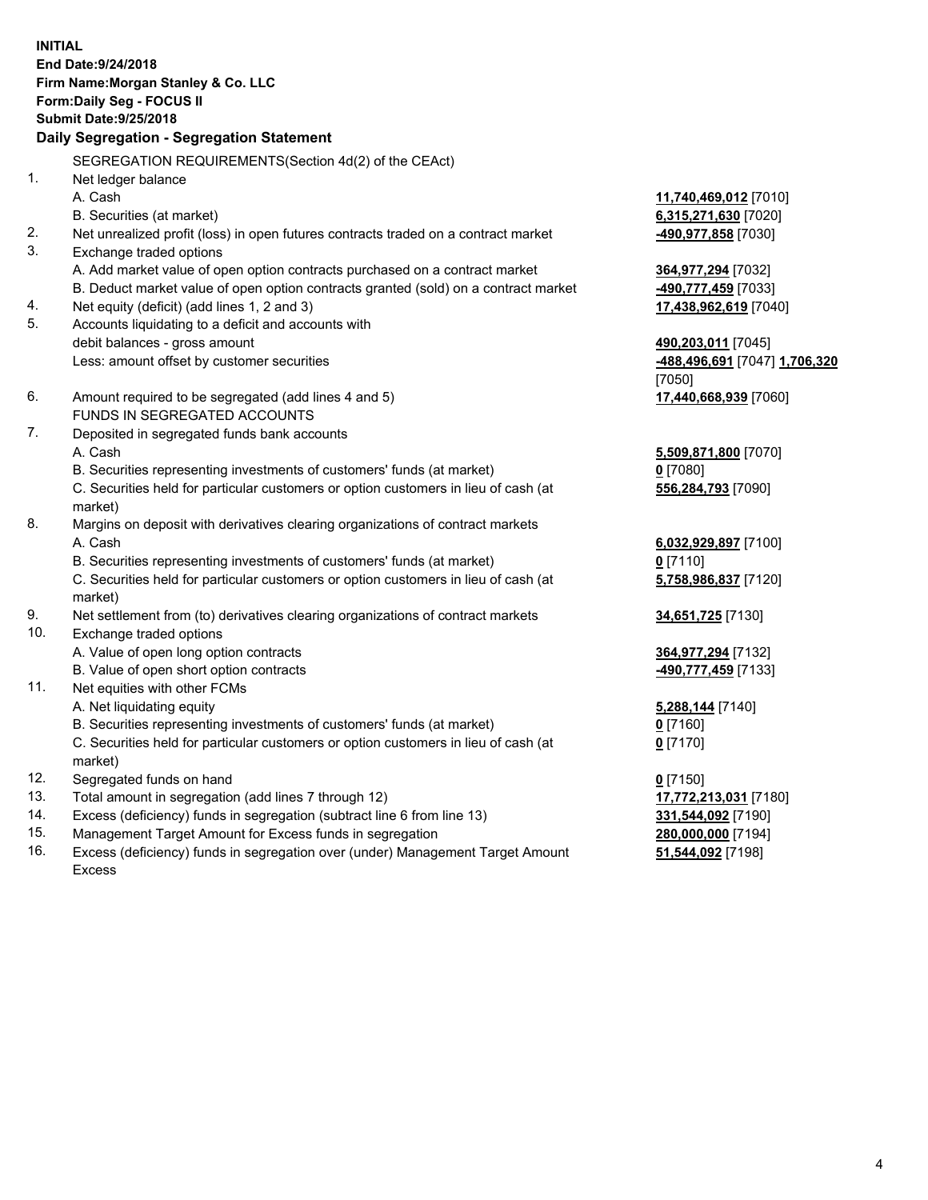**INITIAL End Date:9/24/2018 Firm Name:Morgan Stanley & Co. LLC Form:Daily Seg - FOCUS II Submit Date:9/25/2018 Daily Segregation - Segregation Statement** SEGREGATION REQUIREMENTS(Section 4d(2) of the CEAct) 1. Net ledger balance A. Cash **11,740,469,012** [7010] B. Securities (at market) **6,315,271,630** [7020] 2. Net unrealized profit (loss) in open futures contracts traded on a contract market **-490,977,858** [7030] 3. Exchange traded options A. Add market value of open option contracts purchased on a contract market **364,977,294** [7032] B. Deduct market value of open option contracts granted (sold) on a contract market **-490,777,459** [7033] 4. Net equity (deficit) (add lines 1, 2 and 3) **17,438,962,619** [7040] 5. Accounts liquidating to a deficit and accounts with debit balances - gross amount **490,203,011** [7045] Less: amount offset by customer securities **-488,496,691** [7047] **1,706,320** [7050] 6. Amount required to be segregated (add lines 4 and 5) **17,440,668,939** [7060] FUNDS IN SEGREGATED ACCOUNTS 7. Deposited in segregated funds bank accounts A. Cash **5,509,871,800** [7070] B. Securities representing investments of customers' funds (at market) **0** [7080] C. Securities held for particular customers or option customers in lieu of cash (at market) **556,284,793** [7090] 8. Margins on deposit with derivatives clearing organizations of contract markets A. Cash **6,032,929,897** [7100] B. Securities representing investments of customers' funds (at market) **0** [7110] C. Securities held for particular customers or option customers in lieu of cash (at market) **5,758,986,837** [7120] 9. Net settlement from (to) derivatives clearing organizations of contract markets **34,651,725** [7130] 10. Exchange traded options A. Value of open long option contracts **364,977,294** [7132] B. Value of open short option contracts **-490,777,459** [7133] 11. Net equities with other FCMs A. Net liquidating equity **5,288,144** [7140] B. Securities representing investments of customers' funds (at market) **0** [7160] C. Securities held for particular customers or option customers in lieu of cash (at market) **0** [7170] 12. Segregated funds on hand **0** [7150] 13. Total amount in segregation (add lines 7 through 12) **17,772,213,031** [7180] 14. Excess (deficiency) funds in segregation (subtract line 6 from line 13) **331,544,092** [7190]

- 15. Management Target Amount for Excess funds in segregation **280,000,000** [7194]
- 16. Excess (deficiency) funds in segregation over (under) Management Target Amount Excess

**51,544,092** [7198]